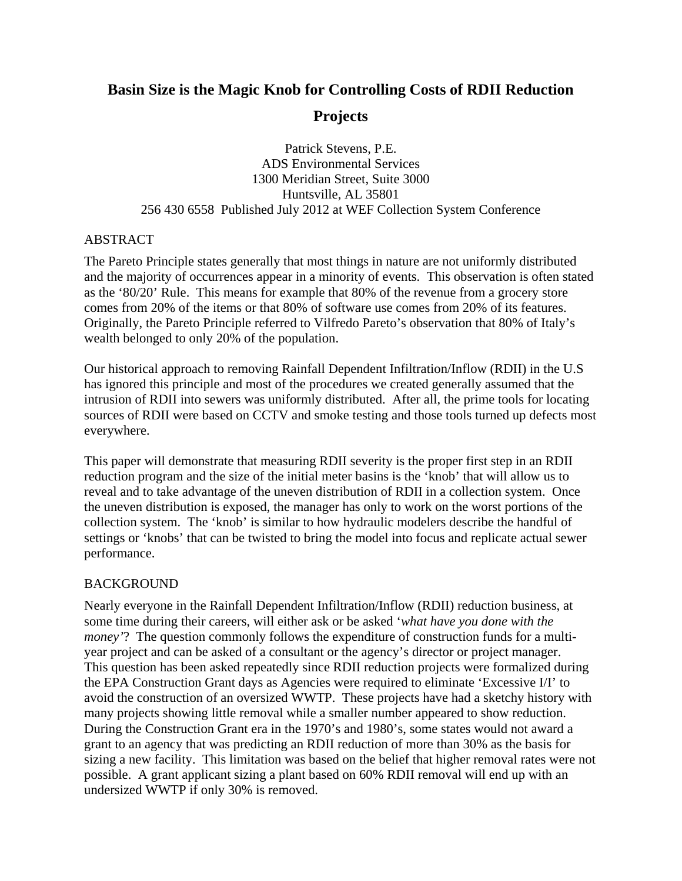# **Basin Size is the Magic Knob for Controlling Costs of RDII Reduction Projects**

Patrick Stevens, P.E. ADS Environmental Services 1300 Meridian Street, Suite 3000 Huntsville, AL 35801 256 430 6558 Published July 2012 at WEF Collection System Conference

### ABSTRACT

The Pareto Principle states generally that most things in nature are not uniformly distributed and the majority of occurrences appear in a minority of events. This observation is often stated as the '80/20' Rule. This means for example that 80% of the revenue from a grocery store comes from 20% of the items or that 80% of software use comes from 20% of its features. Originally, the Pareto Principle referred to Vilfredo Pareto's observation that 80% of Italy's wealth belonged to only 20% of the population.

Our historical approach to removing Rainfall Dependent Infiltration/Inflow (RDII) in the U.S has ignored this principle and most of the procedures we created generally assumed that the intrusion of RDII into sewers was uniformly distributed. After all, the prime tools for locating sources of RDII were based on CCTV and smoke testing and those tools turned up defects most everywhere.

This paper will demonstrate that measuring RDII severity is the proper first step in an RDII reduction program and the size of the initial meter basins is the 'knob' that will allow us to reveal and to take advantage of the uneven distribution of RDII in a collection system. Once the uneven distribution is exposed, the manager has only to work on the worst portions of the collection system. The 'knob' is similar to how hydraulic modelers describe the handful of settings or 'knobs' that can be twisted to bring the model into focus and replicate actual sewer performance.

# **BACKGROUND**

Nearly everyone in the Rainfall Dependent Infiltration/Inflow (RDII) reduction business, at some time during their careers, will either ask or be asked '*what have you done with the money*'? The question commonly follows the expenditure of construction funds for a multiyear project and can be asked of a consultant or the agency's director or project manager. This question has been asked repeatedly since RDII reduction projects were formalized during the EPA Construction Grant days as Agencies were required to eliminate 'Excessive I/I' to avoid the construction of an oversized WWTP. These projects have had a sketchy history with many projects showing little removal while a smaller number appeared to show reduction. During the Construction Grant era in the 1970's and 1980's, some states would not award a grant to an agency that was predicting an RDII reduction of more than 30% as the basis for sizing a new facility. This limitation was based on the belief that higher removal rates were not possible. A grant applicant sizing a plant based on 60% RDII removal will end up with an undersized WWTP if only 30% is removed.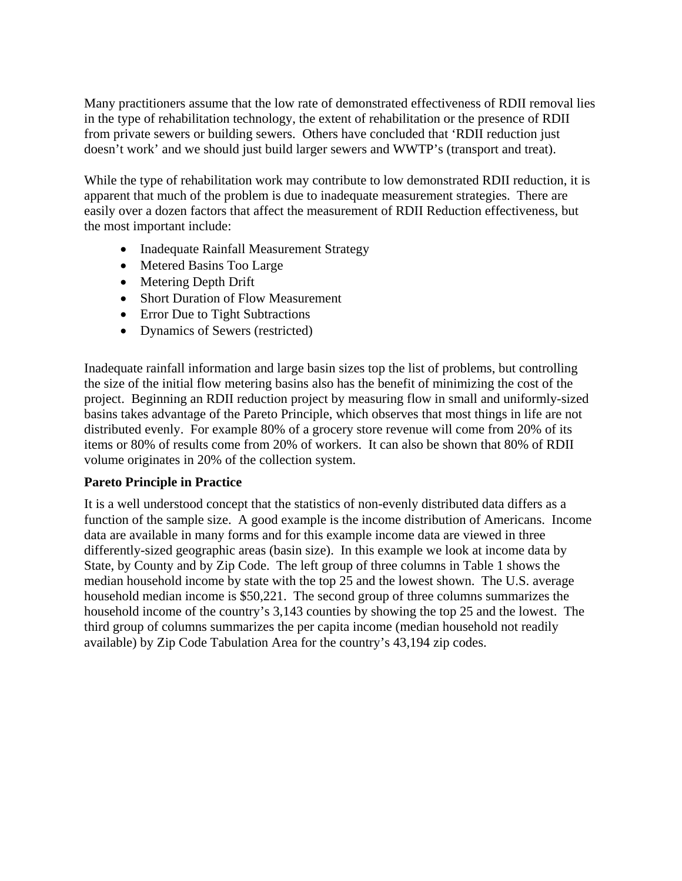Many practitioners assume that the low rate of demonstrated effectiveness of RDII removal lies in the type of rehabilitation technology, the extent of rehabilitation or the presence of RDII from private sewers or building sewers. Others have concluded that 'RDII reduction just doesn't work' and we should just build larger sewers and WWTP's (transport and treat).

While the type of rehabilitation work may contribute to low demonstrated RDII reduction, it is apparent that much of the problem is due to inadequate measurement strategies. There are easily over a dozen factors that affect the measurement of RDII Reduction effectiveness, but the most important include:

- Inadequate Rainfall Measurement Strategy
- Metered Basins Too Large
- Metering Depth Drift
- Short Duration of Flow Measurement
- Error Due to Tight Subtractions
- Dynamics of Sewers (restricted)

Inadequate rainfall information and large basin sizes top the list of problems, but controlling the size of the initial flow metering basins also has the benefit of minimizing the cost of the project. Beginning an RDII reduction project by measuring flow in small and uniformly-sized basins takes advantage of the Pareto Principle, which observes that most things in life are not distributed evenly. For example 80% of a grocery store revenue will come from 20% of its items or 80% of results come from 20% of workers. It can also be shown that 80% of RDII volume originates in 20% of the collection system.

# **Pareto Principle in Practice**

It is a well understood concept that the statistics of non-evenly distributed data differs as a function of the sample size. A good example is the income distribution of Americans. Income data are available in many forms and for this example income data are viewed in three differently-sized geographic areas (basin size). In this example we look at income data by State, by County and by Zip Code. The left group of three columns in Table 1 shows the median household income by state with the top 25 and the lowest shown. The U.S. average household median income is \$50,221. The second group of three columns summarizes the household income of the country's 3,143 counties by showing the top 25 and the lowest. The third group of columns summarizes the per capita income (median household not readily available) by Zip Code Tabulation Area for the country's 43,194 zip codes.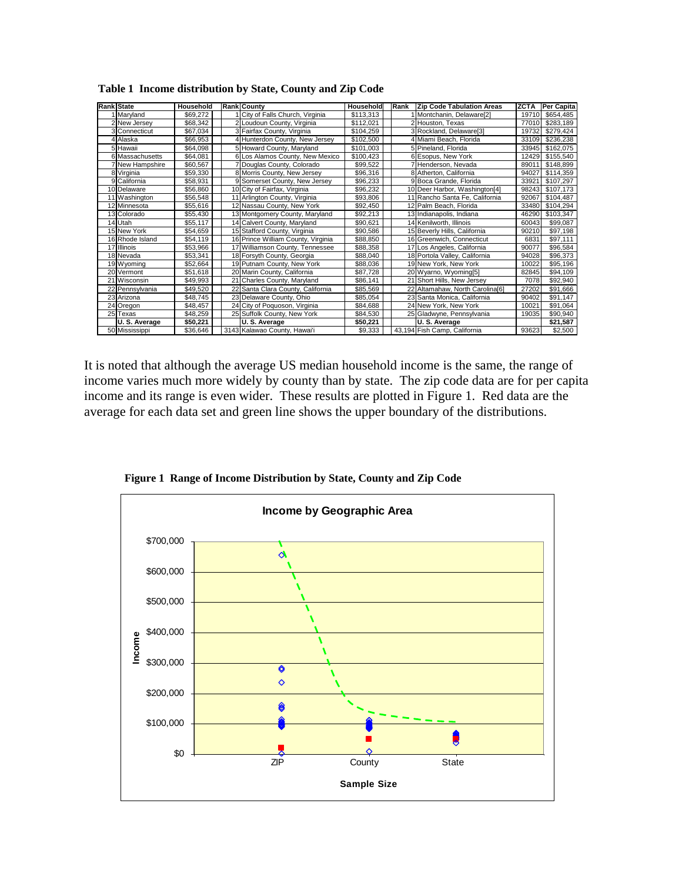| <b>Rank State</b>      | Household | <b>Rank County</b>                 | Household | Rank | <b>Zip Code Tabulation Areas</b> | <b>ZCTA</b> | Per Capita |
|------------------------|-----------|------------------------------------|-----------|------|----------------------------------|-------------|------------|
| Marvland               | \$69,272  | City of Falls Church, Virginia     | \$113.313 |      | Montchanin, Delaware[2]          | 19710       | \$654.485  |
| 2 New Jersey           | \$68,342  | 2 Loudoun County, Virginia         | \$112,021 |      | 2 Houston. Texas                 | 77010       | \$283,189  |
| 3 Connecticut          | \$67,034  | 3 Fairfax County, Virginia         | \$104,259 |      | 3 Rockland, Delaware[3]          | 19732       | \$279,424  |
| <b>Alaska</b>          | \$66.953  | Hunterdon County, New Jersey       | \$102.500 |      | 4 Miami Beach, Florida           | 33109       | \$236,238  |
| 5 Hawaii               | \$64,098  | 5 Howard County, Maryland          | \$101,003 |      | 5 Pineland, Florida              | 33945       | \$162,075  |
| 6 Massachusetts        | \$64,081  | 6 Los Alamos County, New Mexico    | \$100,423 |      | 6 Esopus, New York               | 12429       | \$155,540  |
| <b>7 New Hampshire</b> | \$60,567  | 7 Douglas County, Colorado         | \$99.522  |      | 7 Henderson, Nevada              | 89011       | \$148,899  |
| 8 Virginia             | \$59,330  | 8 Morris County, New Jersey        | \$96.316  |      | 8 Atherton, California           | 94027       | \$114.359  |
| 9 California           | \$58,931  | 9 Somerset County, New Jersey      | \$96,233  |      | 9 Boca Grande, Florida           | 33921       | \$107.297  |
| 10 Delaware            | \$56,860  | 10 City of Fairfax, Virginia       | \$96,232  |      | 10 Deer Harbor, Washington[4]    | 98243       | \$107.173  |
| 11 Washington          | \$56.548  | 11 Arlington County, Virginia      | \$93,806  |      | 11 Rancho Santa Fe, California   | 92067       | \$104,487  |
| 12 Minnesota           | \$55,616  | 12 Nassau County, New York         | \$92,450  |      | 12 Palm Beach, Florida           | 33480       | \$104,294  |
| 13 Colorado            | \$55,430  | 13 Montgomery County, Maryland     | \$92.213  |      | 13 Indianapolis, Indiana         | 46290       | \$103.347  |
| 14 Utah                | \$55,117  | 14 Calvert County, Maryland        | \$90.621  |      | 14 Kenilworth, Illinois          | 60043       | \$99,087   |
| 15 New York            | \$54.659  | 15 Stafford County, Virginia       | \$90,586  |      | 15 Beverly Hills, California     | 90210       | \$97,198   |
| 16 Rhode Island        | \$54.119  | 16 Prince William County, Virginia | \$88,850  |      | 16 Greenwich, Connecticut        | 6831        | \$97,111   |
| 17 Illinois            | \$53.966  | 17 Williamson County, Tennessee    | \$88,358  |      | 17 Los Angeles, California       | 90077       | \$96,584   |
| 18 Nevada              | \$53,341  | 18 Forsyth County, Georgia         | \$88.040  |      | 18 Portola Valley, California    | 94028       | \$96,373   |
| 19 Wyoming             | \$52,664  | 19 Putnam County, New York         | \$88,036  |      | 19 New York, New York            | 10022       | \$95,196   |
| 20 Vermont             | \$51,618  | 20 Marin County, California        | \$87.728  |      | 20 Wyarno, Wyoming[5]            | 82845       | \$94.109   |
| 21 Wisconsin           | \$49,993  | 21 Charles County, Maryland        | \$86,141  |      | 21<br>Short Hills, New Jersey    | 7078        | \$92,940   |
| 22 Pennsylvania        | \$49,520  | 22 Santa Clara County, California  | \$85,569  |      | 22 Altamahaw, North Carolina[6]  | 27202       | \$91,666   |
| 23 Arizona             | \$48,745  | 23 Delaware County, Ohio           | \$85,054  |      | 23 Santa Monica, California      | 90402       | \$91,147   |
| 24 Oregon              | \$48.457  | 24 City of Poguoson, Virginia      | \$84,688  |      | 24 New York, New York            | 10021       | \$91.064   |
| 25 Texas               | \$48.259  | 25 Suffolk County, New York        | \$84,530  |      | 25 Gladwyne, Pennsylvania        | 19035       | \$90.940   |
| U.S. Average           | \$50,221  | U.S. Average                       | \$50.221  |      | U.S. Average                     |             | \$21,587   |
| 50 Mississippi         | \$36,646  | 3143 Kalawao County, Hawai'i       | \$9,333   |      | 43,194 Fish Camp, California     | 93623       | \$2,500    |

**Table 1 Income distribution by State, County and Zip Code** 

It is noted that although the average US median household income is the same, the range of income varies much more widely by county than by state. The zip code data are for per capita income and its range is even wider. These results are plotted in Figure 1. Red data are the average for each data set and green line shows the upper boundary of the distributions.



**Figure 1 Range of Income Distribution by State, County and Zip Code**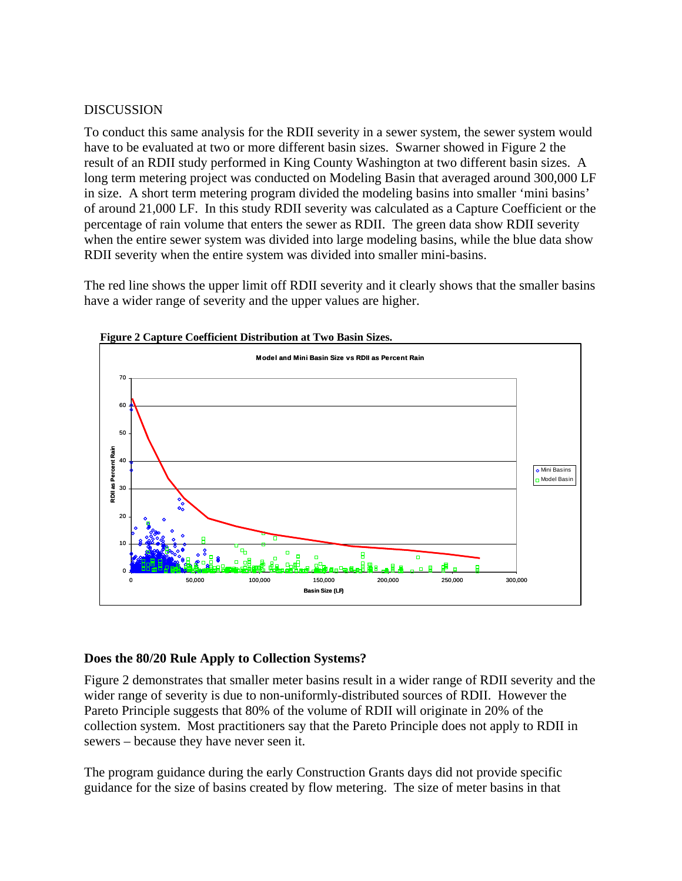### DISCUSSION

To conduct this same analysis for the RDII severity in a sewer system, the sewer system would have to be evaluated at two or more different basin sizes. Swarner showed in Figure 2 the result of an RDII study performed in King County Washington at two different basin sizes. A long term metering project was conducted on Modeling Basin that averaged around 300,000 LF in size. A short term metering program divided the modeling basins into smaller 'mini basins' of around 21,000 LF. In this study RDII severity was calculated as a Capture Coefficient or the percentage of rain volume that enters the sewer as RDII. The green data show RDII severity when the entire sewer system was divided into large modeling basins, while the blue data show RDII severity when the entire system was divided into smaller mini-basins.

The red line shows the upper limit off RDII severity and it clearly shows that the smaller basins have a wider range of severity and the upper values are higher.



### **Figure 2 Capture Coefficient Distribution at Two Basin Sizes.**

# **Does the 80/20 Rule Apply to Collection Systems?**

Figure 2 demonstrates that smaller meter basins result in a wider range of RDII severity and the wider range of severity is due to non-uniformly-distributed sources of RDII. However the Pareto Principle suggests that 80% of the volume of RDII will originate in 20% of the collection system. Most practitioners say that the Pareto Principle does not apply to RDII in sewers – because they have never seen it.

The program guidance during the early Construction Grants days did not provide specific guidance for the size of basins created by flow metering. The size of meter basins in that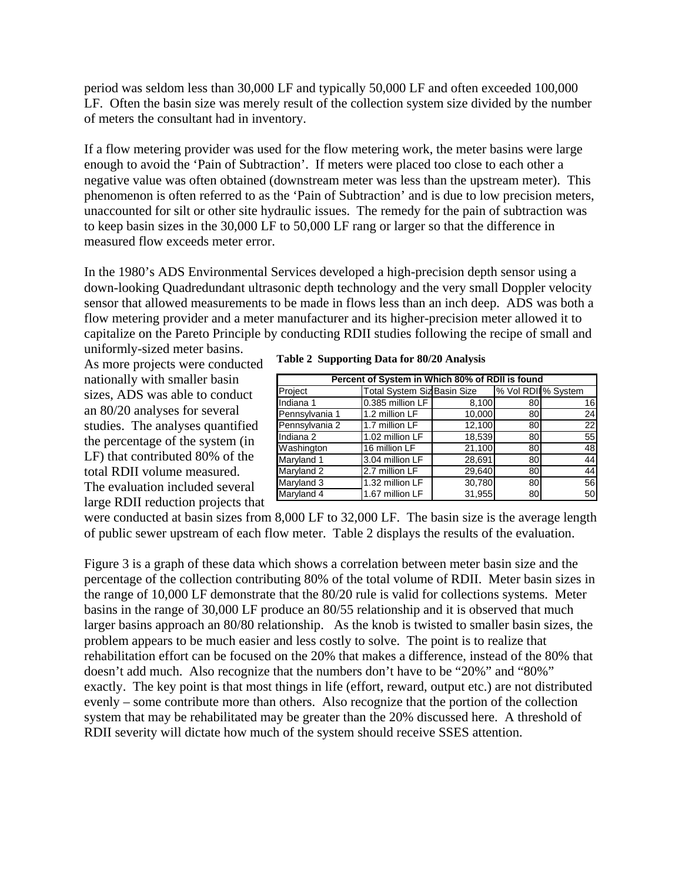period was seldom less than 30,000 LF and typically 50,000 LF and often exceeded 100,000 LF. Often the basin size was merely result of the collection system size divided by the number of meters the consultant had in inventory.

If a flow metering provider was used for the flow metering work, the meter basins were large enough to avoid the 'Pain of Subtraction'. If meters were placed too close to each other a negative value was often obtained (downstream meter was less than the upstream meter). This phenomenon is often referred to as the 'Pain of Subtraction' and is due to low precision meters, unaccounted for silt or other site hydraulic issues. The remedy for the pain of subtraction was to keep basin sizes in the 30,000 LF to 50,000 LF rang or larger so that the difference in measured flow exceeds meter error.

In the 1980's ADS Environmental Services developed a high-precision depth sensor using a down-looking Quadredundant ultrasonic depth technology and the very small Doppler velocity sensor that allowed measurements to be made in flows less than an inch deep. ADS was both a flow metering provider and a meter manufacturer and its higher-precision meter allowed it to capitalize on the Pareto Principle by conducting RDII studies following the recipe of small and uniformly-sized meter basins.

As more projects were conducted nationally with smaller basin sizes, ADS was able to conduct an 80/20 analyses for several studies. The analyses quantified the percentage of the system (in LF) that contributed 80% of the total RDII volume measured. The evaluation included several large RDII reduction projects that

|  |  |  | Table 2 Supporting Data for 80/20 Analysis |  |
|--|--|--|--------------------------------------------|--|
|--|--|--|--------------------------------------------|--|

| Percent of System in Which 80% of RDII is found |                                    |        |                    |    |  |  |  |
|-------------------------------------------------|------------------------------------|--------|--------------------|----|--|--|--|
| Project                                         | <b>Total System Siz Basin Size</b> |        | % Vol RDII% System |    |  |  |  |
| Indiana 1                                       | 0.385 million LF                   | 8,100  | 80                 | 16 |  |  |  |
| Pennsylvania 1                                  | 1.2 million LF                     | 10,000 | 80                 | 24 |  |  |  |
| Pennsylvania 2                                  | 1.7 million LF                     | 12,100 | 80                 | 22 |  |  |  |
| Indiana <sub>2</sub>                            | 1.02 million LF                    | 18,539 | 80                 | 55 |  |  |  |
| Washington                                      | 16 million LF                      | 21,100 | 80                 | 48 |  |  |  |
| Maryland 1                                      | 3.04 million LF                    | 28,691 | 80                 | 44 |  |  |  |
| Maryland 2                                      | 2.7 million LF                     | 29,640 | 80                 | 44 |  |  |  |
| Maryland 3                                      | 1.32 million LF                    | 30,780 | 80                 | 56 |  |  |  |
| Maryland 4                                      | 1.67 million LF                    | 31,955 | 80                 | 50 |  |  |  |

were conducted at basin sizes from 8,000 LF to 32,000 LF. The basin size is the average length of public sewer upstream of each flow meter. Table 2 displays the results of the evaluation.

Figure 3 is a graph of these data which shows a correlation between meter basin size and the percentage of the collection contributing 80% of the total volume of RDII. Meter basin sizes in the range of 10,000 LF demonstrate that the 80/20 rule is valid for collections systems. Meter basins in the range of 30,000 LF produce an 80/55 relationship and it is observed that much larger basins approach an 80/80 relationship. As the knob is twisted to smaller basin sizes, the problem appears to be much easier and less costly to solve. The point is to realize that rehabilitation effort can be focused on the 20% that makes a difference, instead of the 80% that doesn't add much. Also recognize that the numbers don't have to be "20%" and "80%" exactly. The key point is that most things in life (effort, reward, output etc.) are not distributed evenly – some contribute more than others. Also recognize that the portion of the collection system that may be rehabilitated may be greater than the 20% discussed here. A threshold of RDII severity will dictate how much of the system should receive SSES attention.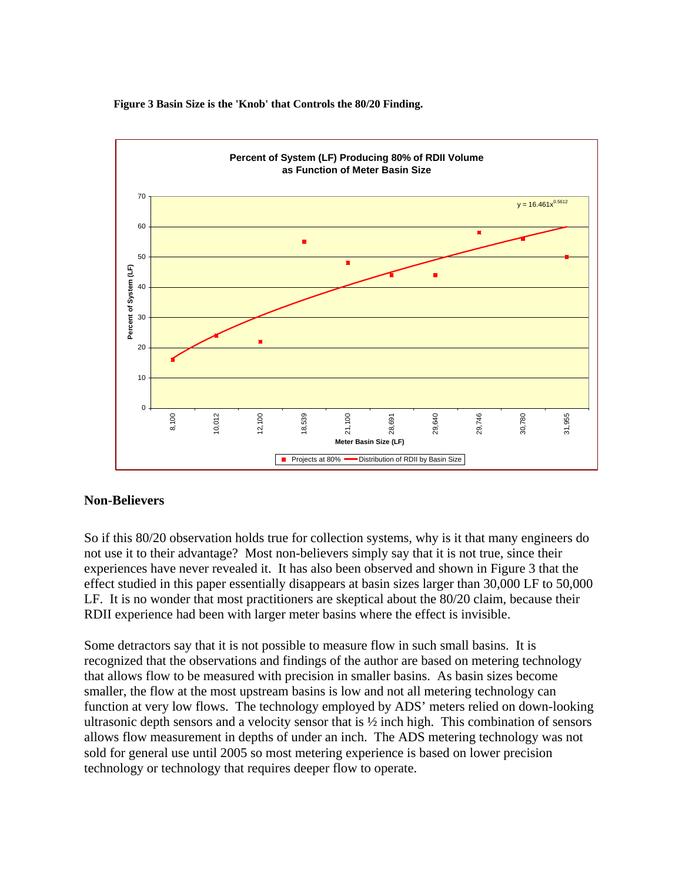**Figure 3 Basin Size is the 'Knob' that Controls the 80/20 Finding.** 



# **Non-Believers**

So if this 80/20 observation holds true for collection systems, why is it that many engineers do not use it to their advantage? Most non-believers simply say that it is not true, since their experiences have never revealed it. It has also been observed and shown in Figure 3 that the effect studied in this paper essentially disappears at basin sizes larger than 30,000 LF to 50,000 LF. It is no wonder that most practitioners are skeptical about the 80/20 claim, because their RDII experience had been with larger meter basins where the effect is invisible.

Some detractors say that it is not possible to measure flow in such small basins. It is recognized that the observations and findings of the author are based on metering technology that allows flow to be measured with precision in smaller basins. As basin sizes become smaller, the flow at the most upstream basins is low and not all metering technology can function at very low flows. The technology employed by ADS' meters relied on down-looking ultrasonic depth sensors and a velocity sensor that is ½ inch high. This combination of sensors allows flow measurement in depths of under an inch. The ADS metering technology was not sold for general use until 2005 so most metering experience is based on lower precision technology or technology that requires deeper flow to operate.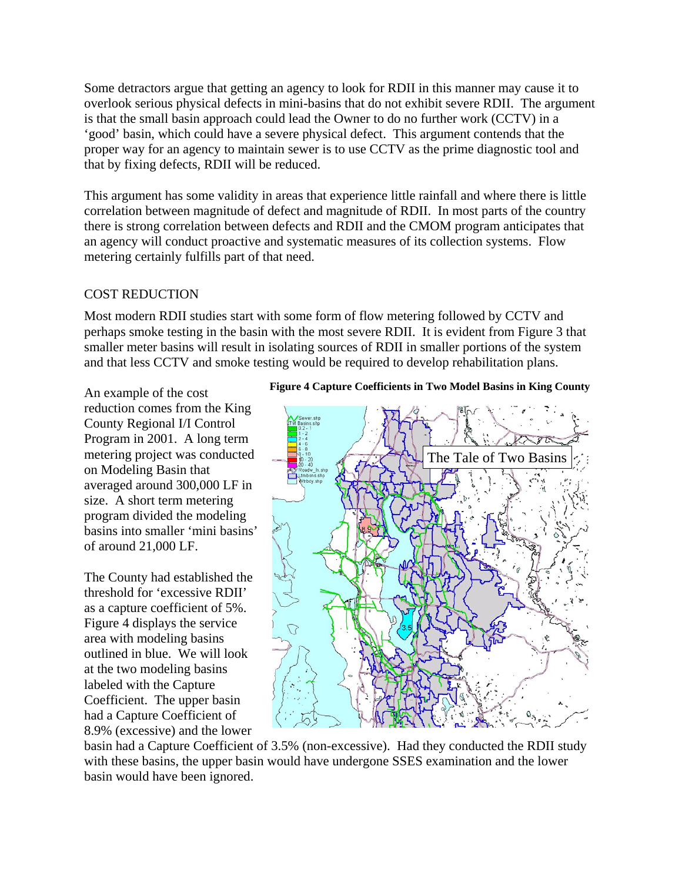Some detractors argue that getting an agency to look for RDII in this manner may cause it to overlook serious physical defects in mini-basins that do not exhibit severe RDII. The argument is that the small basin approach could lead the Owner to do no further work (CCTV) in a 'good' basin, which could have a severe physical defect. This argument contends that the proper way for an agency to maintain sewer is to use CCTV as the prime diagnostic tool and that by fixing defects, RDII will be reduced.

This argument has some validity in areas that experience little rainfall and where there is little correlation between magnitude of defect and magnitude of RDII. In most parts of the country there is strong correlation between defects and RDII and the CMOM program anticipates that an agency will conduct proactive and systematic measures of its collection systems. Flow metering certainly fulfills part of that need.

#### COST REDUCTION

Most modern RDII studies start with some form of flow metering followed by CCTV and perhaps smoke testing in the basin with the most severe RDII. It is evident from Figure 3 that smaller meter basins will result in isolating sources of RDII in smaller portions of the system and that less CCTV and smoke testing would be required to develop rehabilitation plans.

An example of the cost reduction comes from the King County Regional I/I Control Program in 2001. A long term metering project was conducted on Modeling Basin that averaged around 300,000 LF in size. A short term metering program divided the modeling basins into smaller 'mini basins' of around 21,000 LF.

The County had established the threshold for 'excessive RDII' as a capture coefficient of 5%. Figure 4 displays the service area with modeling basins outlined in blue. We will look at the two modeling basins labeled with the Capture Coefficient. The upper basin had a Capture Coefficient of 8.9% (excessive) and the lower

#### **Figure 4 Capture Coefficients in Two Model Basins in King County**



basin had a Capture Coefficient of 3.5% (non-excessive). Had they conducted the RDII study with these basins, the upper basin would have undergone SSES examination and the lower basin would have been ignored.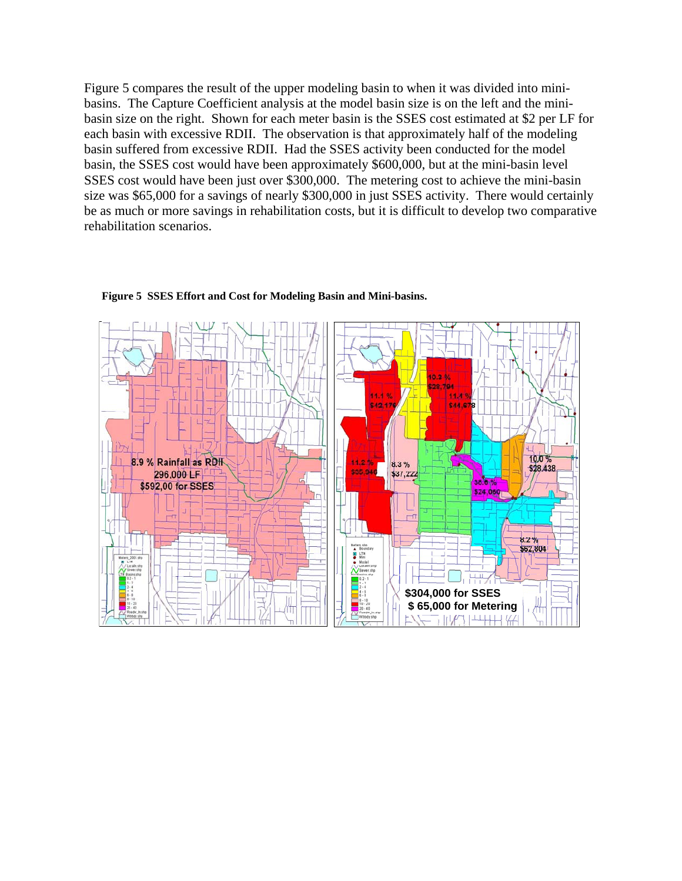Figure 5 compares the result of the upper modeling basin to when it was divided into minibasins. The Capture Coefficient analysis at the model basin size is on the left and the minibasin size on the right. Shown for each meter basin is the SSES cost estimated at \$2 per LF for each basin with excessive RDII. The observation is that approximately half of the modeling basin suffered from excessive RDII. Had the SSES activity been conducted for the model basin, the SSES cost would have been approximately \$600,000, but at the mini-basin level SSES cost would have been just over \$300,000. The metering cost to achieve the mini-basin size was \$65,000 for a savings of nearly \$300,000 in just SSES activity. There would certainly be as much or more savings in rehabilitation costs, but it is difficult to develop two comparative rehabilitation scenarios.



#### **Figure 5 SSES Effort and Cost for Modeling Basin and Mini-basins.**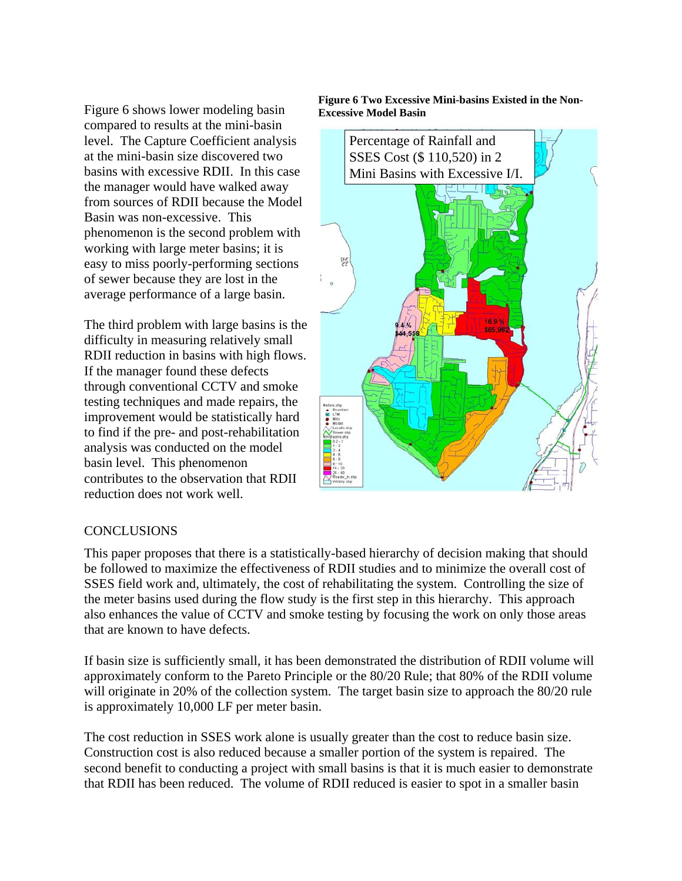Figure 6 shows lower modeling basin compared to results at the mini-basin level. The Capture Coefficient analysis at the mini-basin size discovered two basins with excessive RDII. In this case the manager would have walked away from sources of RDII because the Model Basin was non-excessive. This phenomenon is the second problem with working with large meter basins; it is easy to miss poorly-performing sections of sewer because they are lost in the average performance of a large basin.

The third problem with large basins is the difficulty in measuring relatively small RDII reduction in basins with high flows. If the manager found these defects through conventional CCTV and smoke testing techniques and made repairs, the improvement would be statistically hard to find if the pre- and post-rehabilitation analysis was conducted on the model basin level. This phenomenon contributes to the observation that RDII reduction does not work well.



#### **Figure 6 Two Excessive Mini-basins Existed in the Non-Excessive Model Basin**

#### **CONCLUSIONS**

This paper proposes that there is a statistically-based hierarchy of decision making that should be followed to maximize the effectiveness of RDII studies and to minimize the overall cost of SSES field work and, ultimately, the cost of rehabilitating the system. Controlling the size of the meter basins used during the flow study is the first step in this hierarchy. This approach also enhances the value of CCTV and smoke testing by focusing the work on only those areas that are known to have defects.

If basin size is sufficiently small, it has been demonstrated the distribution of RDII volume will approximately conform to the Pareto Principle or the 80/20 Rule; that 80% of the RDII volume will originate in 20% of the collection system. The target basin size to approach the 80/20 rule is approximately 10,000 LF per meter basin.

The cost reduction in SSES work alone is usually greater than the cost to reduce basin size. Construction cost is also reduced because a smaller portion of the system is repaired. The second benefit to conducting a project with small basins is that it is much easier to demonstrate that RDII has been reduced. The volume of RDII reduced is easier to spot in a smaller basin